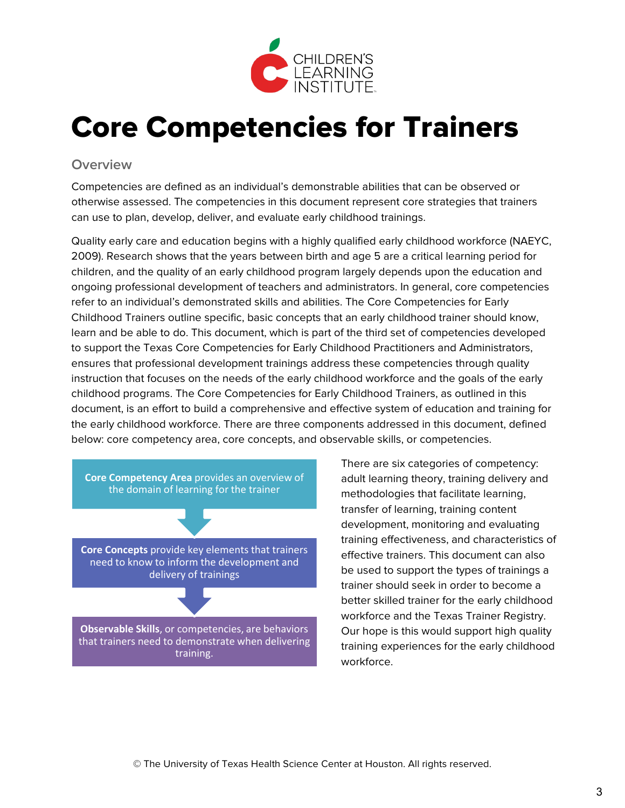

# Core Competencies for Trainers

#### **Overview**

Competencies are defined as an individual's demonstrable abilities that can be observed or otherwise assessed. The competencies in this document represent core strategies that trainers can use to plan, develop, deliver, and evaluate early childhood trainings.

Quality early care and education begins with a highly qualified early childhood workforce (NAEYC, 2009). Research shows that the years between birth and age 5 are a critical learning period for children, and the quality of an early childhood program largely depends upon the education and ongoing professional development of teachers and administrators. In general, core competencies refer to an individual's demonstrated skills and abilities. The Core Competencies for Early Childhood Trainers outline specific, basic concepts that an early childhood trainer should know, learn and be able to do. This document, which is part of the third set of competencies developed to support the Texas Core Competencies for Early Childhood Practitioners and Administrators, ensures that professional development trainings address these competencies through quality instruction that focuses on the needs of the early childhood workforce and the goals of the early childhood programs. The Core Competencies for Early Childhood Trainers, as outlined in this document, is an effort to build a comprehensive and effective system of education and training for the early childhood workforce. There are three components addressed in this document, defined below: core competency area, core concepts, and observable skills, or competencies.



There are six categories of competency: adult learning theory, training delivery and methodologies that facilitate learning, transfer of learning, training content development, monitoring and evaluating training effectiveness, and characteristics of effective trainers. This document can also be used to support the types of trainings a trainer should seek in order to become a better skilled trainer for the early childhood workforce and the Texas Trainer Registry. Our hope is this would support high quality training experiences for the early childhood workforce.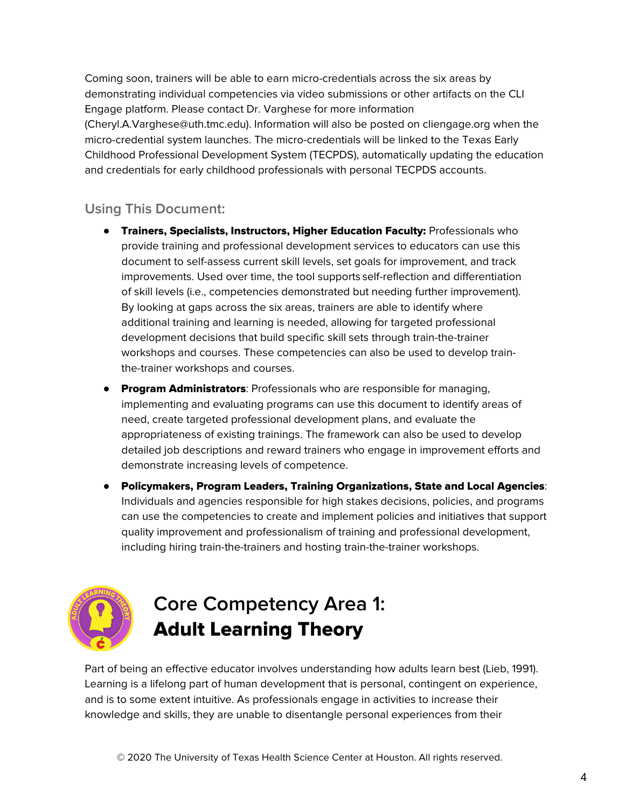Coming soon, trainers will be able to earn micro-credentials across the six areas by demonstrating individual competencies via video submissions or other artifacts on the CLI Engage platform. Please contact Dr. Varghese for more information (Cheryl.A.Varghese@uth.tmc.edu). Information will also be posted on cliengage.org when the micro-credential system launches. The micro-credentials will be linked to the Texas Early Childhood Professional Development System (TECPDS), automatically updating the education and credentials for early childhood professionals with personal TECPDS accounts.

### **Using This Document:**

- Trainers, Specialists, Instructors, Higher Education Faculty: Professionals who provide training and professional development services to educators can use this document to self-assess current skill levels, set goals for improvement, and track improvements. Used over time, the tool supports self-reflection and differentiation of skill levels (i.e., competencies demonstrated but needing further improvement). By looking at gaps across the six areas, trainers are able to identify where additional training and learning is needed, allowing for targeted professional development decisions that build specific skill sets through train-the-trainer workshops and courses. These competencies can also be used to develop trainthe-trainer workshops and courses.
- **Program Administrators:** Professionals who are responsible for managing, implementing and evaluating programs can use this document to identify areas of need, create targeted professional development plans, and evaluate the appropriateness of existing trainings. The framework can also be used to develop detailed job descriptions and reward trainers who engage in improvement efforts and demonstrate increasing levels of competence.
- Policymakers, Program Leaders, Training Organizations, State and Local Agencies: Individuals and agencies responsible for high stakes decisions, policies, and programs can use the competencies to create and implement policies and initiatives that support quality improvement and professionalism of training and professional development, including hiring train-the-trainers and hosting train-the-trainer workshops.



# **Core Competency Area 1:** Adult Learning Theory

Part of being an effective educator involves understanding how adults learn best (Lieb, 1991). Learning is a lifelong part of human development that is personal, contingent on experience, and is to some extent intuitive. As professionals engage in activities to increase their knowledge and skills, they are unable to disentangle personal experiences from their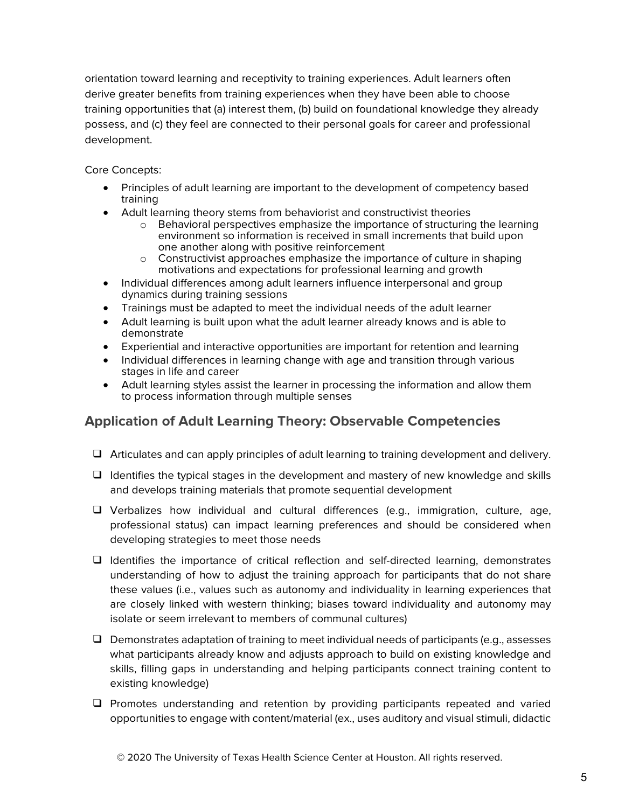orientation toward learning and receptivity to training experiences. Adult learners often derive greater benefits from training experiences when they have been able to choose training opportunities that (a) interest them, (b) build on foundational knowledge they already possess, and (c) they feel are connected to their personal goals for career and professional development.

Core Concepts:

- Principles of adult learning are important to the development of competency based training
- Adult learning theory stems from behaviorist and constructivist theories
	- o Behavioral perspectives emphasize the importance of structuring the learning environment so information is received in small increments that build upon one another along with positive reinforcement
	- $\circ$  Constructivist approaches emphasize the importance of culture in shaping motivations and expectations for professional learning and growth
- Individual differences among adult learners influence interpersonal and group dynamics during training sessions
- Trainings must be adapted to meet the individual needs of the adult learner
- Adult learning is built upon what the adult learner already knows and is able to demonstrate
- Experiential and interactive opportunities are important for retention and learning
- Individual differences in learning change with age and transition through various stages in life and career
- Adult learning styles assist the learner in processing the information and allow them to process information through multiple senses

### **Application of Adult Learning Theory: Observable Competencies**

- ❑ Articulates and can apply principles of adult learning to training development and delivery.
- ❑ Identifies the typical stages in the development and mastery of new knowledge and skills and develops training materials that promote sequential development
- ❑ Verbalizes how individual and cultural differences (e.g., immigration, culture, age, professional status) can impact learning preferences and should be considered when developing strategies to meet those needs
- ❑ Identifies the importance of critical reflection and self-directed learning, demonstrates understanding of how to adjust the training approach for participants that do not share these values (i.e., values such as autonomy and individuality in learning experiences that are closely linked with western thinking; biases toward individuality and autonomy may isolate or seem irrelevant to members of communal cultures)
- ❑ Demonstrates adaptation of training to meet individual needs of participants (e.g., assesses what participants already know and adjusts approach to build on existing knowledge and skills, filling gaps in understanding and helping participants connect training content to existing knowledge)
- ❑ Promotes understanding and retention by providing participants repeated and varied opportunities to engage with content/material (ex., uses auditory and visual stimuli, didactic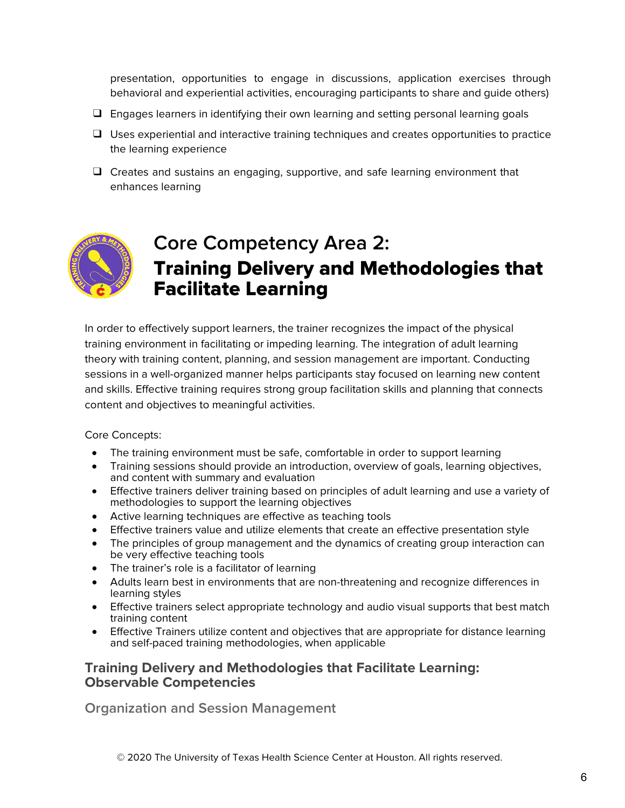presentation, opportunities to engage in discussions, application exercises through behavioral and experiential activities, encouraging participants to share and guide others)

- ❑ Engages learners in identifying their own learning and setting personal learning goals
- ❑ Uses experiential and interactive training techniques and creates opportunities to practice the learning experience
- ❑ Creates and sustains an engaging, supportive, and safe learning environment that enhances learning



## **Core Competency Area 2:** Training Delivery and Methodologies that Facilitate Learning

In order to effectively support learners, the trainer recognizes the impact of the physical training environment in facilitating or impeding learning. The integration of adult learning theory with training content, planning, and session management are important. Conducting sessions in a well-organized manner helps participants stay focused on learning new content and skills. Effective training requires strong group facilitation skills and planning that connects content and objectives to meaningful activities.

Core Concepts:

- The training environment must be safe, comfortable in order to support learning
- Training sessions should provide an introduction, overview of goals, learning objectives, and content with summary and evaluation
- Effective trainers deliver training based on principles of adult learning and use a variety of methodologies to support the learning objectives
- Active learning techniques are effective as teaching tools
- Effective trainers value and utilize elements that create an effective presentation style
- The principles of group management and the dynamics of creating group interaction can be very effective teaching tools
- The trainer's role is a facilitator of learning
- Adults learn best in environments that are non-threatening and recognize differences in learning styles
- Effective trainers select appropriate technology and audio visual supports that best match training content
- Effective Trainers utilize content and objectives that are appropriate for distance learning and self-paced training methodologies, when applicable

#### **Training Delivery and Methodologies that Facilitate Learning: Observable Competencies**

**Organization and Session Management**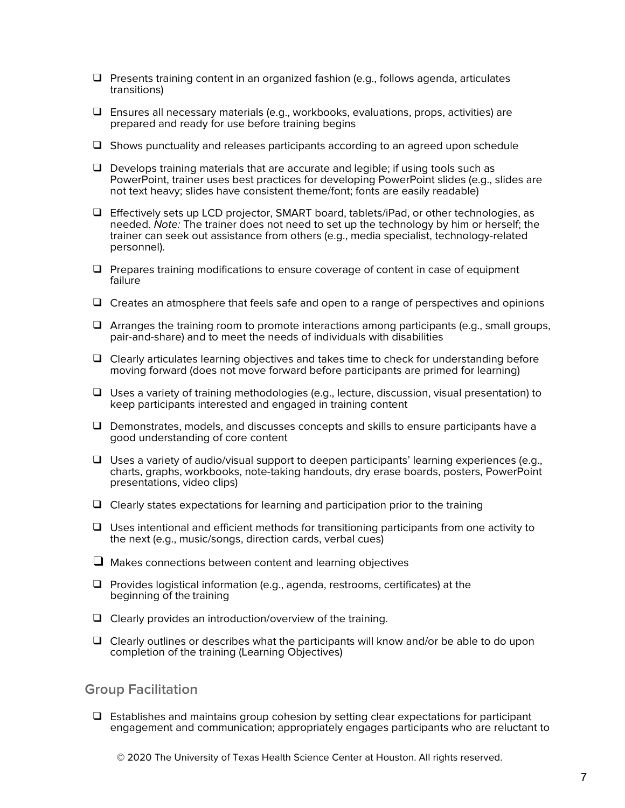- ❑ Presents training content in an organized fashion (e.g., follows agenda, articulates transitions)
- $\Box$  Ensures all necessary materials (e.g., workbooks, evaluations, props, activities) are prepared and ready for use before training begins
- ❑ Shows punctuality and releases participants according to an agreed upon schedule
- ❑ Develops training materials that are accurate and legible; if using tools such as PowerPoint, trainer uses best practices for developing PowerPoint slides (e.g., slides are not text heavy; slides have consistent theme/font; fonts are easily readable)
- ❑ Effectively sets up LCD projector, SMART board, tablets/iPad, or other technologies, as needed. Note: The trainer does not need to set up the technology by him or herself; the trainer can seek out assistance from others (e.g., media specialist, technology-related personnel).
- ❑ Prepares training modifications to ensure coverage of content in case of equipment failure
- ❑ Creates an atmosphere that feels safe and open to a range of perspectives and opinions
- ❑ Arranges the training room to promote interactions among participants (e.g., small groups, pair-and-share) and to meet the needs of individuals with disabilities
- ❑ Clearly articulates learning objectives and takes time to check for understanding before moving forward (does not move forward before participants are primed for learning)
- ❑ Uses a variety of training methodologies (e.g., lecture, discussion, visual presentation) to keep participants interested and engaged in training content
- ❑ Demonstrates, models, and discusses concepts and skills to ensure participants have a good understanding of core content
- $\Box$  Uses a variety of audio/visual support to deepen participants' learning experiences (e.g., charts, graphs, workbooks, note-taking handouts, dry erase boards, posters, PowerPoint presentations, video clips)
- ❑ Clearly states expectations for learning and participation prior to the training
- $\Box$  Uses intentional and efficient methods for transitioning participants from one activity to the next (e.g., music/songs, direction cards, verbal cues)
- ❑ Makes connections between content and learning objectives
- ❑ Provides logistical information (e.g., agenda, restrooms, certificates) at the beginning of the training
- ❑ Clearly provides an introduction/overview of the training.
- $\Box$  Clearly outlines or describes what the participants will know and/or be able to do upon completion of the training (Learning Objectives)

#### **Group Facilitation**

❑ Establishes and maintains group cohesion by setting clear expectations for participant engagement and communication; appropriately engages participants who are reluctant to

© 2020 The University of Texas Health Science Center at Houston. All rights reserved.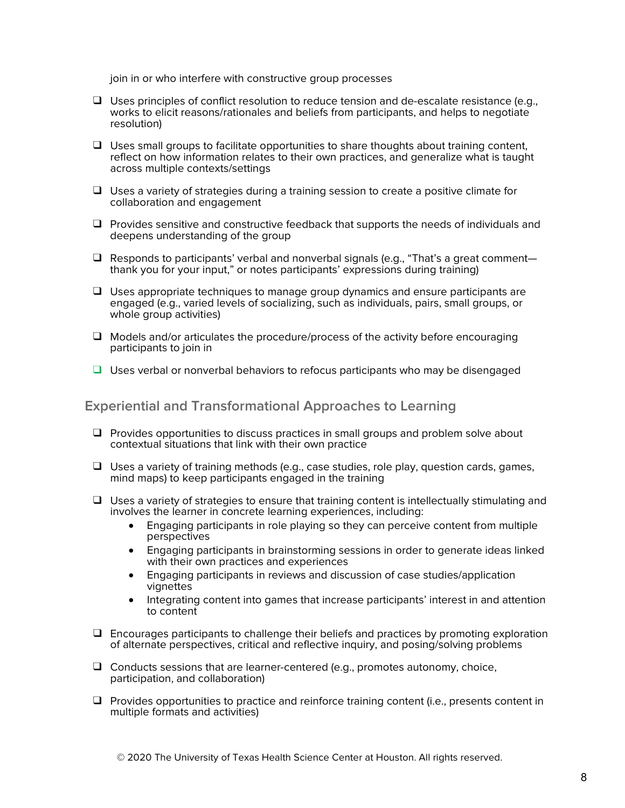join in or who interfere with constructive group processes

- ❑ Uses principles of conflict resolution to reduce tension and de-escalate resistance (e.g., works to elicit reasons/rationales and beliefs from participants, and helps to negotiate resolution)
- ❑ Uses small groups to facilitate opportunities to share thoughts about training content, reflect on how information relates to their own practices, and generalize what is taught across multiple contexts/settings
- ❑ Uses a variety of strategies during a training session to create a positive climate for collaboration and engagement
- ❑ Provides sensitive and constructive feedback that supports the needs of individuals and deepens understanding of the group
- ❑ Responds to participants' verbal and nonverbal signals (e.g., "That's a great comment thank you for your input," or notes participants' expressions during training)
- ❑ Uses appropriate techniques to manage group dynamics and ensure participants are engaged (e.g., varied levels of socializing, such as individuals, pairs, small groups, or whole group activities)
- ❑ Models and/or articulates the procedure/process of the activity before encouraging participants to join in
- ❑ Uses verbal or nonverbal behaviors to refocus participants who may be disengaged

**Experiential and Transformational Approaches to Learning**

- ❑ Provides opportunities to discuss practices in small groups and problem solve about contextual situations that link with their own practice
- ❑ Uses a variety of training methods (e.g., case studies, role play, question cards, games, mind maps) to keep participants engaged in the training
- ❑ Uses a variety of strategies to ensure that training content is intellectually stimulating and involves the learner in concrete learning experiences, including:
	- Engaging participants in role playing so they can perceive content from multiple perspectives
	- Engaging participants in brainstorming sessions in order to generate ideas linked with their own practices and experiences
	- Engaging participants in reviews and discussion of case studies/application vignettes
	- Integrating content into games that increase participants' interest in and attention to content
- ❑ Encourages participants to challenge their beliefs and practices by promoting exploration of alternate perspectives, critical and reflective inquiry, and posing/solving problems
- ❑ Conducts sessions that are learner-centered (e.g., promotes autonomy, choice, participation, and collaboration)
- ❑ Provides opportunities to practice and reinforce training content (i.e., presents content in multiple formats and activities)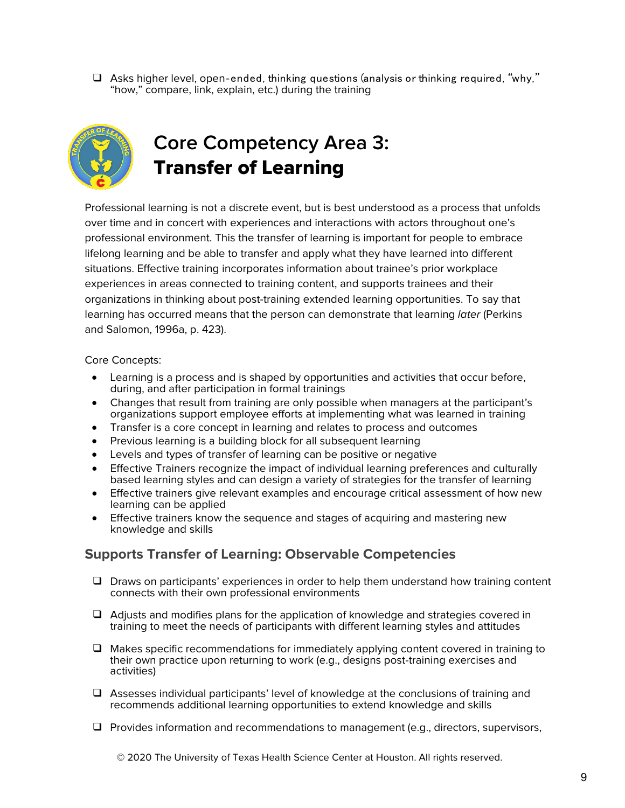$\Box$  Asks higher level, open-ended, thinking questions (analysis or thinking required, "why," "how," compare, link, explain, etc.) during the training



# **Core Competency Area 3:** Transfer of Learning

Professional learning is not a discrete event, but is best understood as a process that unfolds over time and in concert with experiences and interactions with actors throughout one's professional environment. This the transfer of learning is important for people to embrace lifelong learning and be able to transfer and apply what they have learned into different situations. Effective training incorporates information about trainee's prior workplace experiences in areas connected to training content, and supports trainees and their organizations in thinking about post-training extended learning opportunities. To say that learning has occurred means that the person can demonstrate that learning *later* (Perkins and Salomon, 1996a, p. 423).

Core Concepts:

- Learning is a process and is shaped by opportunities and activities that occur before, during, and after participation in formal trainings
- Changes that result from training are only possible when managers at the participant's organizations support employee efforts at implementing what was learned in training
- Transfer is a core concept in learning and relates to process and outcomes
- Previous learning is a building block for all subsequent learning
- Levels and types of transfer of learning can be positive or negative
- Effective Trainers recognize the impact of individual learning preferences and culturally based learning styles and can design a variety of strategies for the transfer of learning
- Effective trainers give relevant examples and encourage critical assessment of how new learning can be applied
- Effective trainers know the sequence and stages of acquiring and mastering new knowledge and skills

### **Supports Transfer of Learning: Observable Competencies**

- ❑ Draws on participants' experiences in order to help them understand how training content connects with their own professional environments
- ❑ Adjusts and modifies plans for the application of knowledge and strategies covered in training to meet the needs of participants with different learning styles and attitudes
- ❑ Makes specific recommendations for immediately applying content covered in training to their own practice upon returning to work (e.g., designs post-training exercises and activities)
- ❑ Assesses individual participants' level of knowledge at the conclusions of training and recommends additional learning opportunities to extend knowledge and skills
- ❑ Provides information and recommendations to management (e.g., directors, supervisors,

© 2020 The University of Texas Health Science Center at Houston. All rights reserved.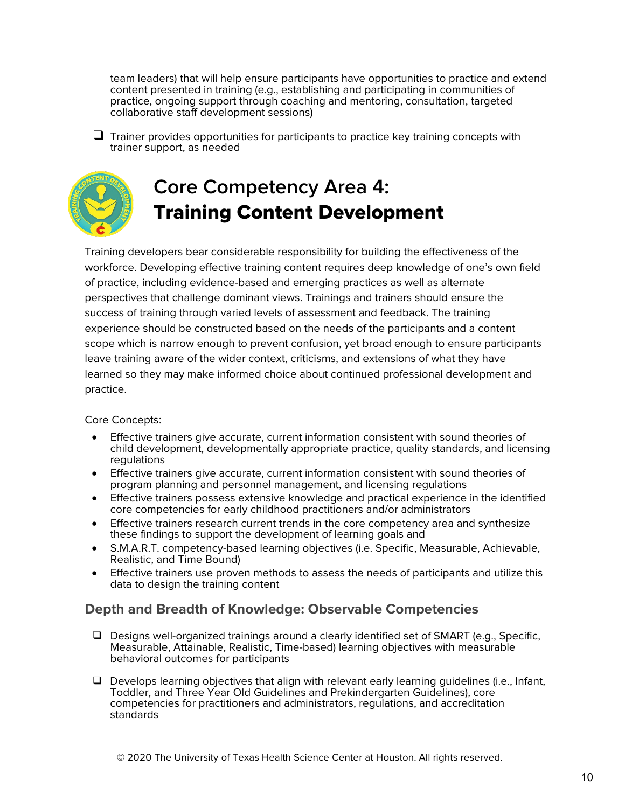team leaders) that will help ensure participants have opportunities to practice and extend content presented in training (e.g., establishing and participating in communities of practice, ongoing support through coaching and mentoring, consultation, targeted collaborative staff development sessions)

 $\Box$  Trainer provides opportunities for participants to practice key training concepts with trainer support, as needed



# **Core Competency Area 4:** Training Content Development

Training developers bear considerable responsibility for building the effectiveness of the workforce. Developing effective training content requires deep knowledge of one's own field of practice, including evidence-based and emerging practices as well as alternate perspectives that challenge dominant views. Trainings and trainers should ensure the success of training through varied levels of assessment and feedback. The training experience should be constructed based on the needs of the participants and a content scope which is narrow enough to prevent confusion, yet broad enough to ensure participants leave training aware of the wider context, criticisms, and extensions of what they have learned so they may make informed choice about continued professional development and practice.

#### Core Concepts:

- Effective trainers give accurate, current information consistent with sound theories of child development, developmentally appropriate practice, quality standards, and licensing regulations
- Effective trainers give accurate, current information consistent with sound theories of program planning and personnel management, and licensing regulations
- Effective trainers possess extensive knowledge and practical experience in the identified core competencies for early childhood practitioners and/or administrators
- Effective trainers research current trends in the core competency area and synthesize these findings to support the development of learning goals and
- S.M.A.R.T. competency-based learning objectives (i.e. Specific, Measurable, Achievable, Realistic, and Time Bound)
- Effective trainers use proven methods to assess the needs of participants and utilize this data to design the training content

### **Depth and Breadth of Knowledge: Observable Competencies**

- ❑ Designs well-organized trainings around a clearly identified set of SMART (e.g., Specific, Measurable, Attainable, Realistic, Time-based) learning objectives with measurable behavioral outcomes for participants
- $\Box$  Develops learning objectives that align with relevant early learning quidelines (i.e., Infant, Toddler, and Three Year Old Guidelines and Prekindergarten Guidelines), core competencies for practitioners and administrators, regulations, and accreditation standards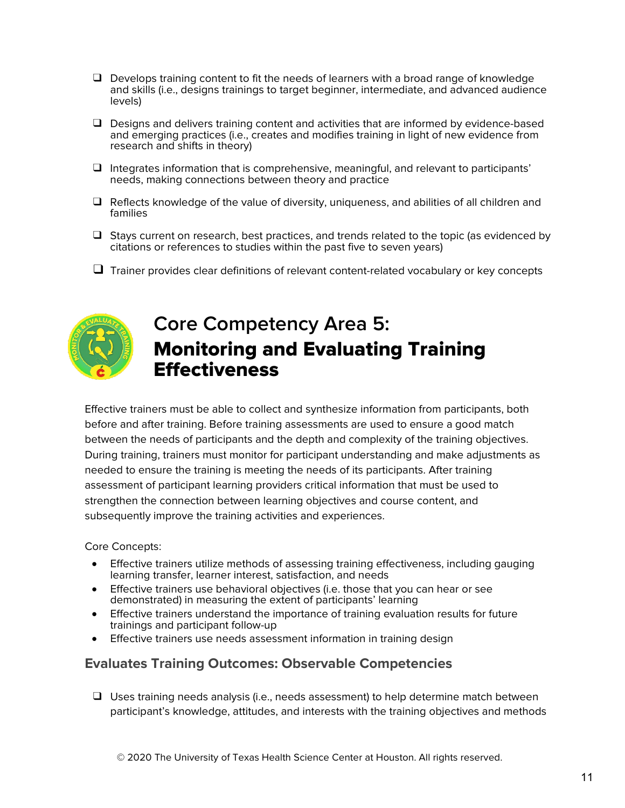- ❑ Develops training content to fit the needs of learners with a broad range of knowledge and skills (i.e., designs trainings to target beginner, intermediate, and advanced audience levels)
- ❑ Designs and delivers training content and activities that are informed by evidence-based and emerging practices (i.e., creates and modifies training in light of new evidence from research and shifts in theory)
- ❑ Integrates information that is comprehensive, meaningful, and relevant to participants' needs, making connections between theory and practice
- ❑ Reflects knowledge of the value of diversity, uniqueness, and abilities of all children and families
- ❑ Stays current on research, best practices, and trends related to the topic (as evidenced by citations or references to studies within the past five to seven years)
- $\Box$  Trainer provides clear definitions of relevant content-related vocabulary or key concepts



## **Core Competency Area 5:** Monitoring and Evaluating Training **Effectiveness**

Effective trainers must be able to collect and synthesize information from participants, both before and after training. Before training assessments are used to ensure a good match between the needs of participants and the depth and complexity of the training objectives. During training, trainers must monitor for participant understanding and make adjustments as needed to ensure the training is meeting the needs of its participants. After training assessment of participant learning providers critical information that must be used to strengthen the connection between learning objectives and course content, and subsequently improve the training activities and experiences.

Core Concepts:

- Effective trainers utilize methods of assessing training effectiveness, including gauging learning transfer, learner interest, satisfaction, and needs
- Effective trainers use behavioral objectives (i.e. those that you can hear or see demonstrated) in measuring the extent of participants' learning
- Effective trainers understand the importance of training evaluation results for future trainings and participant follow-up
- Effective trainers use needs assessment information in training design

### **Evaluates Training Outcomes: Observable Competencies**

❑ Uses training needs analysis (i.e., needs assessment) to help determine match between participant's knowledge, attitudes, and interests with the training objectives and methods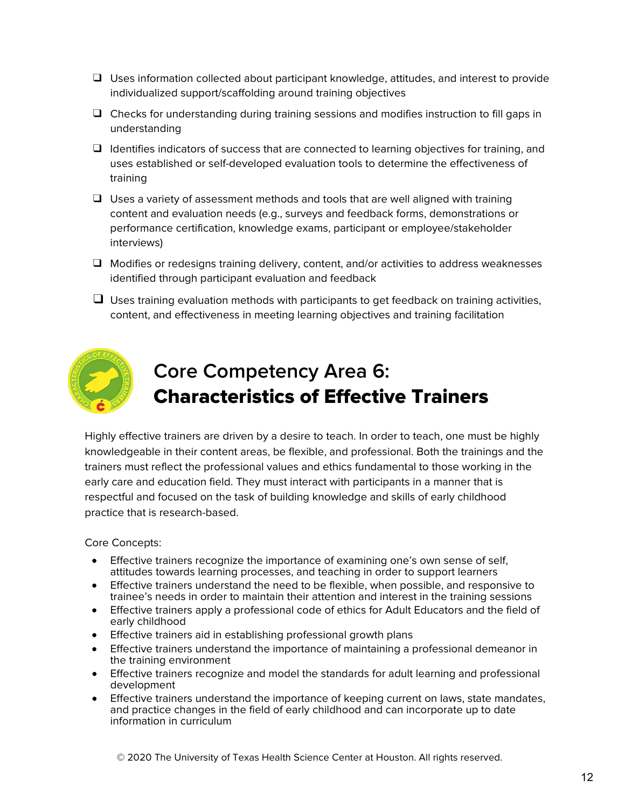- ❑ Uses information collected about participant knowledge, attitudes, and interest to provide individualized support/scaffolding around training objectives
- ❑ Checks for understanding during training sessions and modifies instruction to fill gaps in understanding
- ❑ Identifies indicators of success that are connected to learning objectives for training, and uses established or self-developed evaluation tools to determine the effectiveness of training
- $\Box$  Uses a variety of assessment methods and tools that are well aligned with training content and evaluation needs (e.g., surveys and feedback forms, demonstrations or performance certification, knowledge exams, participant or employee/stakeholder interviews)
- ❑ Modifies or redesigns training delivery, content, and/or activities to address weaknesses identified through participant evaluation and feedback
- $\Box$  Uses training evaluation methods with participants to get feedback on training activities, content, and effectiveness in meeting learning objectives and training facilitation



# **Core Competency Area 6:** Characteristics of Effective Trainers

Highly effective trainers are driven by a desire to teach. In order to teach, one must be highly knowledgeable in their content areas, be flexible, and professional. Both the trainings and the trainers must reflect the professional values and ethics fundamental to those working in the early care and education field. They must interact with participants in a manner that is respectful and focused on the task of building knowledge and skills of early childhood practice that is research-based.

Core Concepts:

- Effective trainers recognize the importance of examining one's own sense of self, attitudes towards learning processes, and teaching in order to support learners
- Effective trainers understand the need to be flexible, when possible, and responsive to trainee's needs in order to maintain their attention and interest in the training sessions
- Effective trainers apply a professional code of ethics for Adult Educators and the field of early childhood
- Effective trainers aid in establishing professional growth plans
- Effective trainers understand the importance of maintaining a professional demeanor in the training environment
- Effective trainers recognize and model the standards for adult learning and professional development
- Effective trainers understand the importance of keeping current on laws, state mandates, and practice changes in the field of early childhood and can incorporate up to date information in curriculum

© 2020 The University of Texas Health Science Center at Houston. All rights reserved.